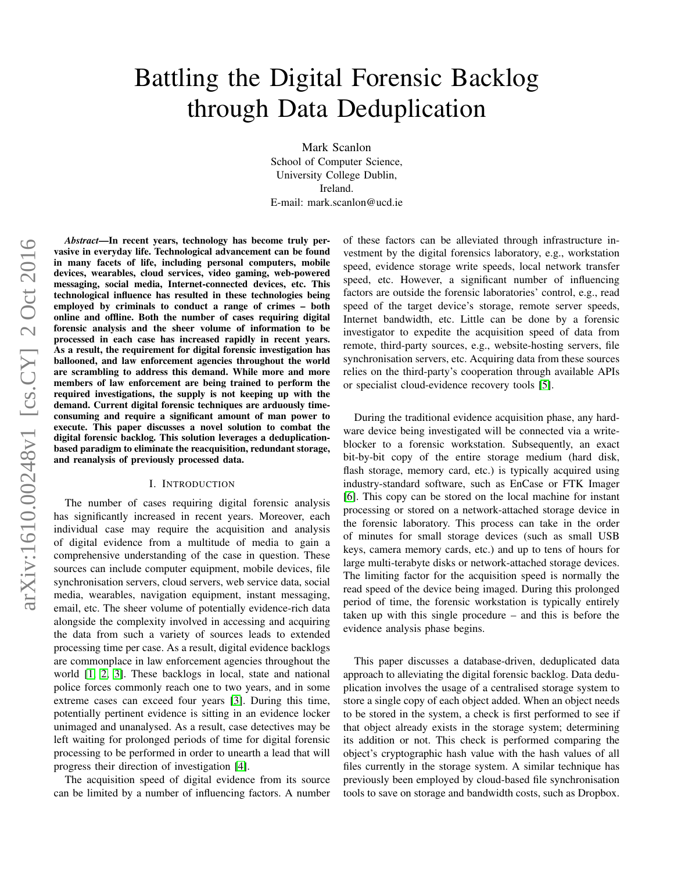# Battling the Digital Forensic Backlog through Data Deduplication

Mark Scanlon School of Computer Science, University College Dublin, Ireland. E-mail: mark.scanlon@ucd.ie

*Abstract*—In recent years, technology has become truly pervasive in everyday life. Technological advancement can be found in many facets of life, including personal computers, mobile devices, wearables, cloud services, video gaming, web-powered messaging, social media, Internet-connected devices, etc. This technological influence has resulted in these technologies being employed by criminals to conduct a range of crimes – both online and offline. Both the number of cases requiring digital forensic analysis and the sheer volume of information to be processed in each case has increased rapidly in recent years. As a result, the requirement for digital forensic investigation has ballooned, and law enforcement agencies throughout the world are scrambling to address this demand. While more and more members of law enforcement are being trained to perform the required investigations, the supply is not keeping up with the demand. Current digital forensic techniques are arduously timeconsuming and require a significant amount of man power to execute. This paper discusses a novel solution to combat the digital forensic backlog. This solution leverages a deduplicationbased paradigm to eliminate the reacquisition, redundant storage, and reanalysis of previously processed data.

## I. INTRODUCTION

The number of cases requiring digital forensic analysis has significantly increased in recent years. Moreover, each individual case may require the acquisition and analysis of digital evidence from a multitude of media to gain a comprehensive understanding of the case in question. These sources can include computer equipment, mobile devices, file synchronisation servers, cloud servers, web service data, social media, wearables, navigation equipment, instant messaging, email, etc. The sheer volume of potentially evidence-rich data alongside the complexity involved in accessing and acquiring the data from such a variety of sources leads to extended processing time per case. As a result, digital evidence backlogs are commonplace in law enforcement agencies throughout the world [\[1,](#page-4-0) [2,](#page-4-1) [3\]](#page-4-2). These backlogs in local, state and national police forces commonly reach one to two years, and in some extreme cases can exceed four years [\[3\]](#page-4-2). During this time, potentially pertinent evidence is sitting in an evidence locker unimaged and unanalysed. As a result, case detectives may be left waiting for prolonged periods of time for digital forensic processing to be performed in order to unearth a lead that will progress their direction of investigation [\[4\]](#page-4-3).

The acquisition speed of digital evidence from its source can be limited by a number of influencing factors. A number of these factors can be alleviated through infrastructure investment by the digital forensics laboratory, e.g., workstation speed, evidence storage write speeds, local network transfer speed, etc. However, a significant number of influencing factors are outside the forensic laboratories' control, e.g., read speed of the target device's storage, remote server speeds, Internet bandwidth, etc. Little can be done by a forensic investigator to expedite the acquisition speed of data from remote, third-party sources, e.g., website-hosting servers, file synchronisation servers, etc. Acquiring data from these sources relies on the third-party's cooperation through available APIs or specialist cloud-evidence recovery tools [\[5\]](#page-4-4).

During the traditional evidence acquisition phase, any hardware device being investigated will be connected via a writeblocker to a forensic workstation. Subsequently, an exact bit-by-bit copy of the entire storage medium (hard disk, flash storage, memory card, etc.) is typically acquired using industry-standard software, such as EnCase or FTK Imager [\[6\]](#page-4-5). This copy can be stored on the local machine for instant processing or stored on a network-attached storage device in the forensic laboratory. This process can take in the order of minutes for small storage devices (such as small USB keys, camera memory cards, etc.) and up to tens of hours for large multi-terabyte disks or network-attached storage devices. The limiting factor for the acquisition speed is normally the read speed of the device being imaged. During this prolonged period of time, the forensic workstation is typically entirely taken up with this single procedure – and this is before the evidence analysis phase begins.

This paper discusses a database-driven, deduplicated data approach to alleviating the digital forensic backlog. Data deduplication involves the usage of a centralised storage system to store a single copy of each object added. When an object needs to be stored in the system, a check is first performed to see if that object already exists in the storage system; determining its addition or not. This check is performed comparing the object's cryptographic hash value with the hash values of all files currently in the storage system. A similar technique has previously been employed by cloud-based file synchronisation tools to save on storage and bandwidth costs, such as Dropbox.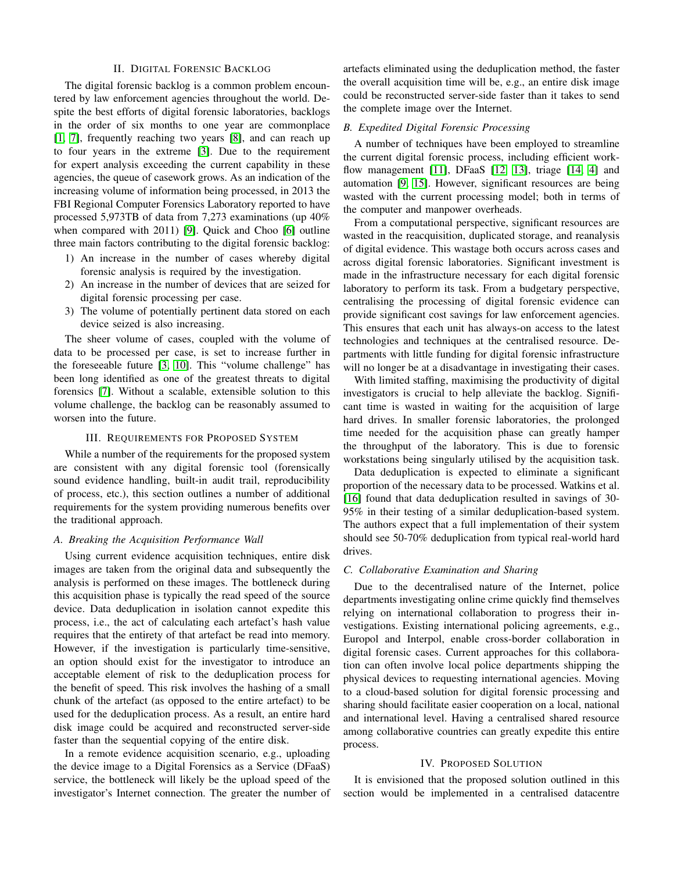#### II. DIGITAL FORENSIC BACKLOG

The digital forensic backlog is a common problem encountered by law enforcement agencies throughout the world. Despite the best efforts of digital forensic laboratories, backlogs in the order of six months to one year are commonplace [\[1,](#page-4-0) [7\]](#page-4-6), frequently reaching two years [\[8\]](#page-4-7), and can reach up to four years in the extreme [\[3\]](#page-4-2). Due to the requirement for expert analysis exceeding the current capability in these agencies, the queue of casework grows. As an indication of the increasing volume of information being processed, in 2013 the FBI Regional Computer Forensics Laboratory reported to have processed 5,973TB of data from 7,273 examinations (up 40% when compared with 2011) [\[9\]](#page-4-8). Quick and Choo [\[6\]](#page-4-5) outline three main factors contributing to the digital forensic backlog:

- 1) An increase in the number of cases whereby digital forensic analysis is required by the investigation.
- 2) An increase in the number of devices that are seized for digital forensic processing per case.
- 3) The volume of potentially pertinent data stored on each device seized is also increasing.

The sheer volume of cases, coupled with the volume of data to be processed per case, is set to increase further in the foreseeable future [\[3,](#page-4-2) [10\]](#page-4-9). This "volume challenge" has been long identified as one of the greatest threats to digital forensics [\[7\]](#page-4-6). Without a scalable, extensible solution to this volume challenge, the backlog can be reasonably assumed to worsen into the future.

#### III. REQUIREMENTS FOR PROPOSED SYSTEM

While a number of the requirements for the proposed system are consistent with any digital forensic tool (forensically sound evidence handling, built-in audit trail, reproducibility of process, etc.), this section outlines a number of additional requirements for the system providing numerous benefits over the traditional approach.

#### *A. Breaking the Acquisition Performance Wall*

Using current evidence acquisition techniques, entire disk images are taken from the original data and subsequently the analysis is performed on these images. The bottleneck during this acquisition phase is typically the read speed of the source device. Data deduplication in isolation cannot expedite this process, i.e., the act of calculating each artefact's hash value requires that the entirety of that artefact be read into memory. However, if the investigation is particularly time-sensitive, an option should exist for the investigator to introduce an acceptable element of risk to the deduplication process for the benefit of speed. This risk involves the hashing of a small chunk of the artefact (as opposed to the entire artefact) to be used for the deduplication process. As a result, an entire hard disk image could be acquired and reconstructed server-side faster than the sequential copying of the entire disk.

In a remote evidence acquisition scenario, e.g., uploading the device image to a Digital Forensics as a Service (DFaaS) service, the bottleneck will likely be the upload speed of the investigator's Internet connection. The greater the number of

artefacts eliminated using the deduplication method, the faster the overall acquisition time will be, e.g., an entire disk image could be reconstructed server-side faster than it takes to send the complete image over the Internet.

## *B. Expedited Digital Forensic Processing*

A number of techniques have been employed to streamline the current digital forensic process, including efficient work-flow management [\[11\]](#page-4-10), DFaaS [\[12,](#page-4-11) [13\]](#page-4-12), triage [\[14,](#page-4-13) [4\]](#page-4-3) and automation [\[9,](#page-4-8) [15\]](#page-4-14). However, significant resources are being wasted with the current processing model; both in terms of the computer and manpower overheads.

From a computational perspective, significant resources are wasted in the reacquisition, duplicated storage, and reanalysis of digital evidence. This wastage both occurs across cases and across digital forensic laboratories. Significant investment is made in the infrastructure necessary for each digital forensic laboratory to perform its task. From a budgetary perspective, centralising the processing of digital forensic evidence can provide significant cost savings for law enforcement agencies. This ensures that each unit has always-on access to the latest technologies and techniques at the centralised resource. Departments with little funding for digital forensic infrastructure will no longer be at a disadvantage in investigating their cases.

With limited staffing, maximising the productivity of digital investigators is crucial to help alleviate the backlog. Significant time is wasted in waiting for the acquisition of large hard drives. In smaller forensic laboratories, the prolonged time needed for the acquisition phase can greatly hamper the throughput of the laboratory. This is due to forensic workstations being singularly utilised by the acquisition task.

Data deduplication is expected to eliminate a significant proportion of the necessary data to be processed. Watkins et al. [\[16\]](#page-4-15) found that data deduplication resulted in savings of 30- 95% in their testing of a similar deduplication-based system. The authors expect that a full implementation of their system should see 50-70% deduplication from typical real-world hard drives.

### *C. Collaborative Examination and Sharing*

Due to the decentralised nature of the Internet, police departments investigating online crime quickly find themselves relying on international collaboration to progress their investigations. Existing international policing agreements, e.g., Europol and Interpol, enable cross-border collaboration in digital forensic cases. Current approaches for this collaboration can often involve local police departments shipping the physical devices to requesting international agencies. Moving to a cloud-based solution for digital forensic processing and sharing should facilitate easier cooperation on a local, national and international level. Having a centralised shared resource among collaborative countries can greatly expedite this entire process.

#### IV. PROPOSED SOLUTION

It is envisioned that the proposed solution outlined in this section would be implemented in a centralised datacentre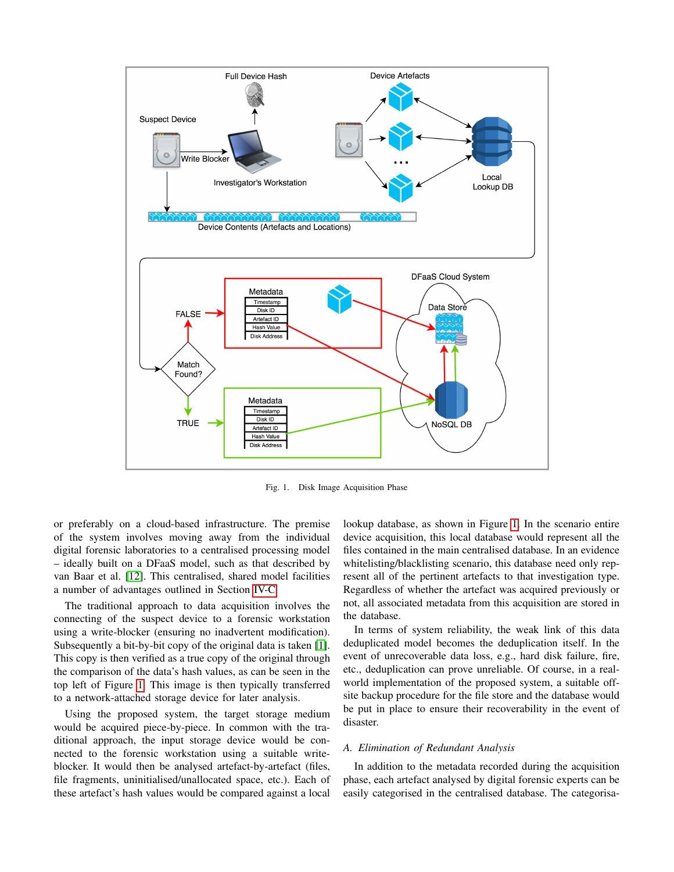

<span id="page-2-0"></span>Fig. 1. Disk Image Acquisition Phase

or preferably on a cloud-based infrastructure. The premise of the system involves moving away from the individual digital forensic laboratories to a centralised processing model – ideally built on a DFaaS model, such as that described by van Baar et al. [\[12\]](#page-4-11). This centralised, shared model facilities a number of advantages outlined in Section [IV-C.](#page-3-0)

The traditional approach to data acquisition involves the connecting of the suspect device to a forensic workstation using a write-blocker (ensuring no inadvertent modification). Subsequently a bit-by-bit copy of the original data is taken [\[1\]](#page-4-0). This copy is then verified as a true copy of the original through the comparison of the data's hash values, as can be seen in the top left of Figure [1.](#page-2-0) This image is then typically transferred to a network-attached storage device for later analysis.

Using the proposed system, the target storage medium would be acquired piece-by-piece. In common with the traditional approach, the input storage device would be connected to the forensic workstation using a suitable writeblocker. It would then be analysed artefact-by-artefact (files, file fragments, uninitialised/unallocated space, etc.). Each of these artefact's hash values would be compared against a local lookup database, as shown in Figure [1.](#page-2-0) In the scenario entire device acquisition, this local database would represent all the files contained in the main centralised database. In an evidence whitelisting/blacklisting scenario, this database need only represent all of the pertinent artefacts to that investigation type. Regardless of whether the artefact was acquired previously or not, all associated metadata from this acquisition are stored in the database.

In terms of system reliability, the weak link of this data deduplicated model becomes the deduplication itself. In the event of unrecoverable data loss, e.g., hard disk failure, fire, etc., deduplication can prove unreliable. Of course, in a realworld implementation of the proposed system, a suitable offsite backup procedure for the file store and the database would be put in place to ensure their recoverability in the event of disaster.

#### *A. Elimination of Redundant Analysis*

In addition to the metadata recorded during the acquisition phase, each artefact analysed by digital forensic experts can be easily categorised in the centralised database. The categorisa-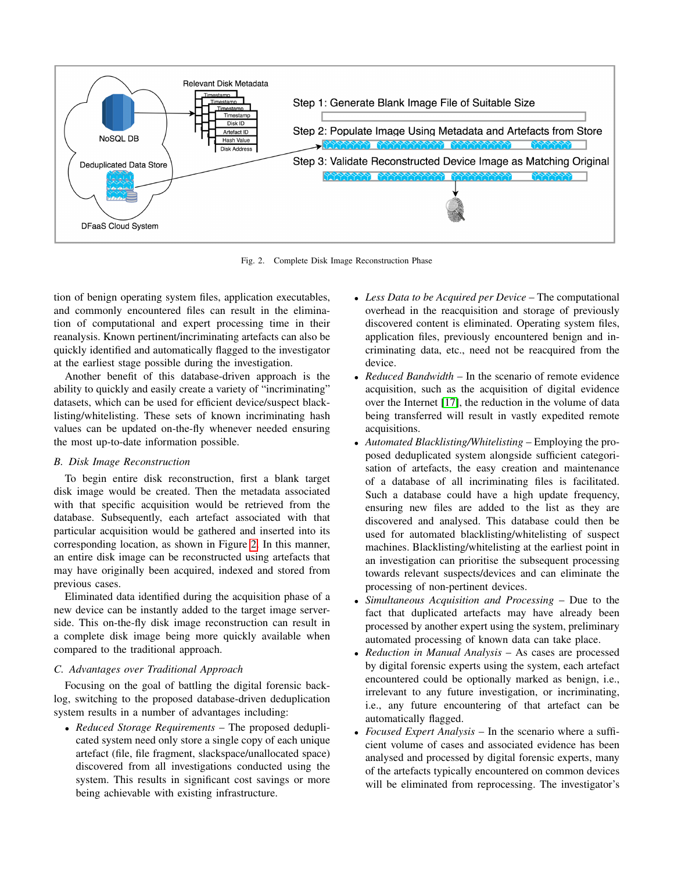

<span id="page-3-1"></span>Fig. 2. Complete Disk Image Reconstruction Phase

tion of benign operating system files, application executables, and commonly encountered files can result in the elimination of computational and expert processing time in their reanalysis. Known pertinent/incriminating artefacts can also be quickly identified and automatically flagged to the investigator at the earliest stage possible during the investigation.

Another benefit of this database-driven approach is the ability to quickly and easily create a variety of "incriminating" datasets, which can be used for efficient device/suspect blacklisting/whitelisting. These sets of known incriminating hash values can be updated on-the-fly whenever needed ensuring the most up-to-date information possible.

## *B. Disk Image Reconstruction*

To begin entire disk reconstruction, first a blank target disk image would be created. Then the metadata associated with that specific acquisition would be retrieved from the database. Subsequently, each artefact associated with that particular acquisition would be gathered and inserted into its corresponding location, as shown in Figure [2.](#page-3-1) In this manner, an entire disk image can be reconstructed using artefacts that may have originally been acquired, indexed and stored from previous cases.

Eliminated data identified during the acquisition phase of a new device can be instantly added to the target image serverside. This on-the-fly disk image reconstruction can result in a complete disk image being more quickly available when compared to the traditional approach.

## <span id="page-3-0"></span>*C. Advantages over Traditional Approach*

Focusing on the goal of battling the digital forensic backlog, switching to the proposed database-driven deduplication system results in a number of advantages including:

• *Reduced Storage Requirements* – The proposed deduplicated system need only store a single copy of each unique artefact (file, file fragment, slackspace/unallocated space) discovered from all investigations conducted using the system. This results in significant cost savings or more being achievable with existing infrastructure.

- *Less Data to be Acquired per Device* The computational overhead in the reacquisition and storage of previously discovered content is eliminated. Operating system files, application files, previously encountered benign and incriminating data, etc., need not be reacquired from the device.
- *Reduced Bandwidth* In the scenario of remote evidence acquisition, such as the acquisition of digital evidence over the Internet [\[17\]](#page-4-16), the reduction in the volume of data being transferred will result in vastly expedited remote acquisitions.
- *Automated Blacklisting/Whitelisting* Employing the proposed deduplicated system alongside sufficient categorisation of artefacts, the easy creation and maintenance of a database of all incriminating files is facilitated. Such a database could have a high update frequency, ensuring new files are added to the list as they are discovered and analysed. This database could then be used for automated blacklisting/whitelisting of suspect machines. Blacklisting/whitelisting at the earliest point in an investigation can prioritise the subsequent processing towards relevant suspects/devices and can eliminate the processing of non-pertinent devices.
- *Simultaneous Acquisition and Processing* Due to the fact that duplicated artefacts may have already been processed by another expert using the system, preliminary automated processing of known data can take place.
- *Reduction in Manual Analysis* As cases are processed by digital forensic experts using the system, each artefact encountered could be optionally marked as benign, i.e., irrelevant to any future investigation, or incriminating, i.e., any future encountering of that artefact can be automatically flagged.
- *Focused Expert Analysis* In the scenario where a sufficient volume of cases and associated evidence has been analysed and processed by digital forensic experts, many of the artefacts typically encountered on common devices will be eliminated from reprocessing. The investigator's